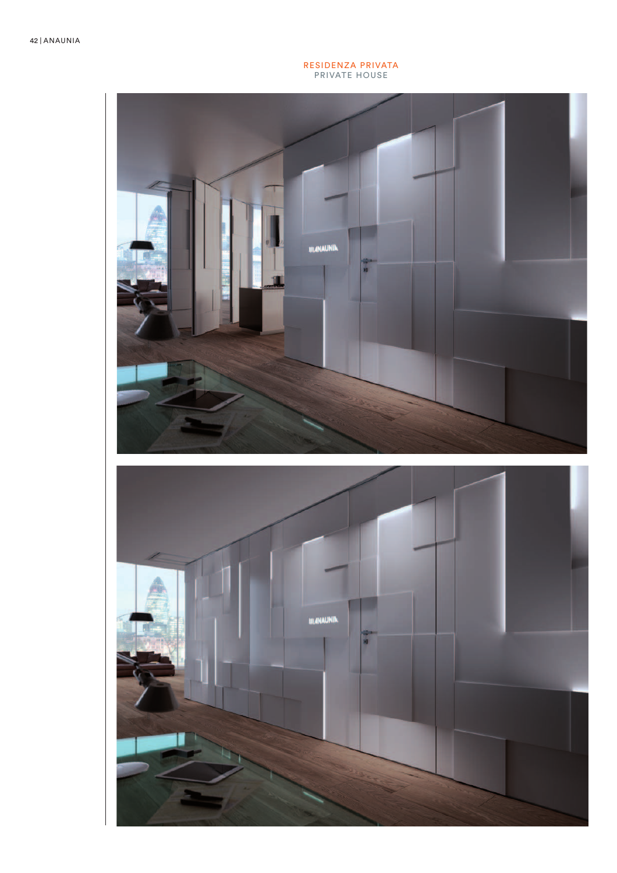#### RESIDENZA PRIVATA PRIVATE HOUSE



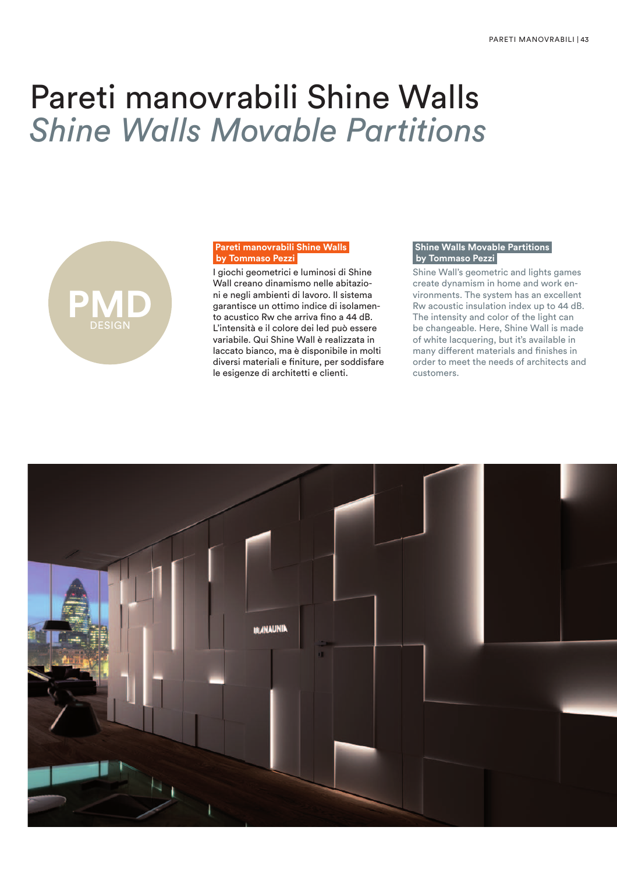# Pareti manovrabili Shine Walls *Shine Walls Movable Partitions*



## **Pareti manovrabili Shine Walls by Tommaso Pezzi**

I giochi geometrici e luminosi di Shine Wall creano dinamismo nelle abitazioni e negli ambienti di lavoro. Il sistema garantisce un ottimo indice di isolamento acustico Rw che arriva fino a 44 dB. L'intensità e il colore dei led può essere variabile. Qui Shine Wall è realizzata in laccato bianco, ma è disponibile in molti diversi materiali e finiture, per soddisfare le esigenze di architetti e clienti.

## **Shine Walls Movable Partitions by Tommaso Pezzi**

Shine Wall's geometric and lights games create dynamism in home and work environments. The system has an excellent Rw acoustic insulation index up to 44 dB. The intensity and color of the light can be changeable. Here, Shine Wall is made of white lacquering, but it's available in many different materials and finishes in order to meet the needs of architects and customers.

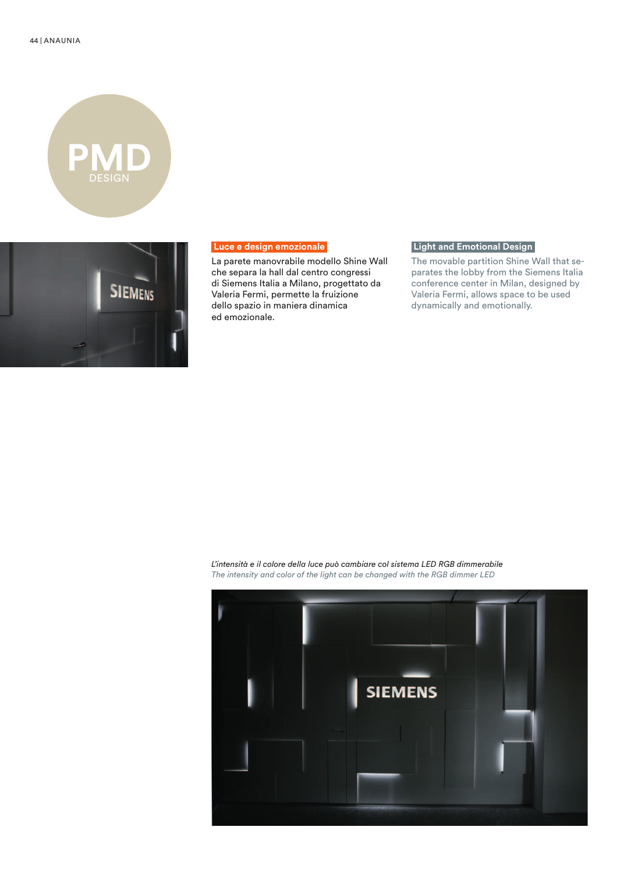



### **Luce e design emozionale**

La parete manovrabile modello Shine Wall che separa la hall dal centro congressi di Siemens Italia a Milano, progettato da Valeria Fermi, permette la fruizione dello spazio in maniera dinamica ed emozionale.

## **Light and Emotional Design**

The movable partition Shine Wall that separates the lobby from the Siemens Italia conference center in Milan, designed by Valeria Fermi, allows space to be used dynamically and emotionally.

*L'intensità e il colore della luce può cambiare col sistema LED RGB dimmerabile The intensity and color of the light can be changed with the RGB dimmer LED*